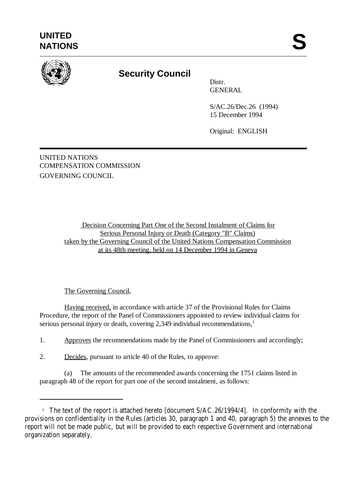

# **Security Council**

Distr. GENERAL

S/AC.26/Dec.26 (1994) 15 December 1994

Original: ENGLISH

UNITED NATIONS COMPENSATION COMMISSION GOVERNING COUNCIL

> Decision Concerning Part One of the Second Instalment of Claims for Serious Personal Injury or Death (Category "B" Claims) taken by the Governing Council of the United Nations Compensation Commission at its 48th meeting, held on 14 December 1994 in Geneva

#### The Governing Council,

Having received, in accordance with article 37 of the Provisional Rules for Claims Procedure, the report of the Panel of Commissioners appointed to review individual claims for serious personal injury or death, covering  $2,349$  individual recommendations,<sup>1</sup>

1. Approves the recommendations made by the Panel of Commissioners and accordingly;

2. Decides, pursuant to article 40 of the Rules, to approve:

(a) The amounts of the recommended awards concerning the 1751 claims listed in paragraph 48 of the report for part one of the second instalment, as follows:

<sup>&</sup>lt;sup>1</sup> The text of the report is attached hereto [document  $S/AC.26/1994/4$ ]. In conformity with the provisions on confidentiality in the Rules (articles 30, paragraph 1 and 40, paragraph 5) the annexes to the report will not be made public, but will be provided to each respective Government and international organization separately.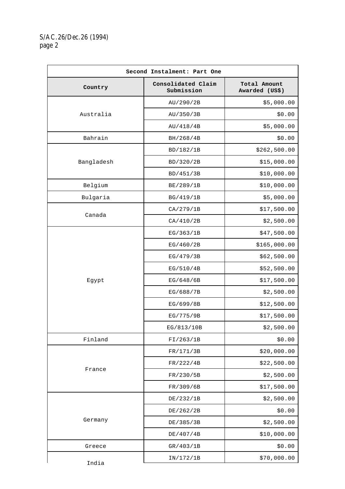## S/AC.26/Dec.26 (1994) page 2

| Second Instalment: Part One |                                  |                                |  |
|-----------------------------|----------------------------------|--------------------------------|--|
| Country                     | Consolidated Claim<br>Submission | Total Amount<br>Awarded (US\$) |  |
| Australia                   | AU/290/2B                        | \$5,000.00                     |  |
|                             | AU/350/3B                        | \$0.00                         |  |
|                             | AU/418/4B                        | \$5,000.00                     |  |
| Bahrain                     | BH/268/4B                        | \$0.00                         |  |
| Bangladesh                  | BD/182/1B                        | \$262,500.00                   |  |
|                             | BD/320/2B                        | \$15,000.00                    |  |
|                             | BD/451/3B                        | \$10,000.00                    |  |
| Belgium                     | BE/289/1B                        | \$10,000.00                    |  |
| Bulgaria                    | BG/419/1B                        | \$5,000.00                     |  |
|                             | CA/279/1B                        | \$17,500.00                    |  |
| Canada                      | CA/410/2B                        | \$2,500.00                     |  |
|                             | EG/363/1B                        | \$47,500.00                    |  |
|                             | EG/460/2B                        | \$165,000.00                   |  |
|                             | EG/479/3B                        | \$62,500.00                    |  |
|                             | EG/510/4B                        | \$52,500.00                    |  |
| Egypt                       | EG/648/6B                        | \$17,500.00                    |  |
|                             | EG/688/7B                        | \$2,500.00                     |  |
|                             | EG/699/8B                        | \$12,500.00                    |  |
|                             | EG/775/9B                        | \$17,500.00                    |  |
|                             | EG/813/10B                       | \$2,500.00                     |  |
| Finland                     | FI/263/1B                        | \$0.00                         |  |
| France                      | FR/171/3B                        | \$20,000.00                    |  |
|                             | FR/222/4B                        | \$22,500.00                    |  |
|                             | FR/230/5B                        | \$2,500.00                     |  |
|                             | FR/309/6B                        | \$17,500.00                    |  |
|                             | DE/232/1B                        | \$2,500.00                     |  |
| Germany                     | DE/262/2B                        | \$0.00                         |  |
|                             | DE/385/3B                        | \$2,500.00                     |  |
|                             | DE/407/4B                        | \$10,000.00                    |  |
| Greece                      | GR/403/1B                        | \$0.00                         |  |
| India                       | IN/172/1B                        | \$70,000.00                    |  |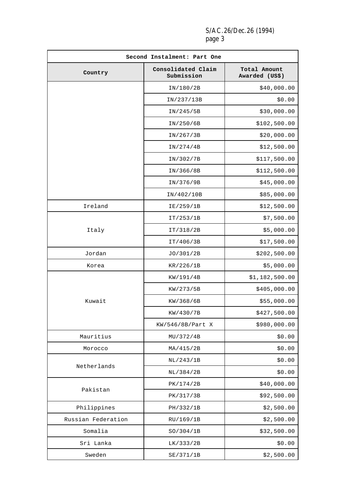## S/AC.26/Dec.26 (1994) page 3

| Second Instalment: Part One |                                  |                                |  |
|-----------------------------|----------------------------------|--------------------------------|--|
| Country                     | Consolidated Claim<br>Submission | Total Amount<br>Awarded (US\$) |  |
|                             | IN/180/2B                        | \$40,000.00                    |  |
|                             | IN/237/13B                       | \$0.00                         |  |
|                             | IN/245/5B                        | \$30,000.00                    |  |
|                             | IN/250/6B                        | \$102,500.00                   |  |
|                             | IN/267/3B                        | \$20,000.00                    |  |
|                             | IN/274/4B                        | \$12,500.00                    |  |
|                             | IN/302/7B                        | \$117,500.00                   |  |
|                             | IN/366/8B                        | \$112,500.00                   |  |
|                             | IN/376/9B                        | \$45,000.00                    |  |
|                             | IN/402/10B                       | \$85,000.00                    |  |
| Ireland                     | IE/259/1B                        | \$12,500.00                    |  |
|                             | IT/253/1B                        | \$7,500.00                     |  |
| Italy                       | IT/318/2B                        | \$5,000.00                     |  |
|                             | IT/406/3B                        | \$17,500.00                    |  |
| Jordan                      | JO/301/2B                        | \$202,500.00                   |  |
| Korea                       | KR/226/1B                        | \$5,000.00                     |  |
|                             | KW/191/4B                        | \$1,182,500.00                 |  |
|                             | KW/273/5B                        | \$405,000.00                   |  |
| Kuwait                      | KW/368/6B                        | \$55,000.00                    |  |
|                             | KW/430/7B                        | \$427,500.00                   |  |
|                             | KW/546/8B/Part X                 | \$980,000.00                   |  |
| Mauritius                   | MU/372/4B                        | \$0.00                         |  |
| Morocco                     | MA/415/2B                        | \$0.00                         |  |
|                             | NL/243/1B                        | \$0.00                         |  |
| Netherlands                 | NL/384/2B                        | \$0.00                         |  |
|                             | PK/174/2B                        | \$40,000.00                    |  |
| Pakistan                    | PK/317/3B                        | \$92,500.00                    |  |
| Philippines                 | PH/332/1B                        | \$2,500.00                     |  |
| Russian Federation          | RU/169/1B                        | \$2,500.00                     |  |
| Somalia                     | SO/304/1B                        | \$32,500.00                    |  |
| Sri Lanka                   | LK/333/2B                        | \$0.00                         |  |
| Sweden                      | SE/371/1B                        | \$2,500.00                     |  |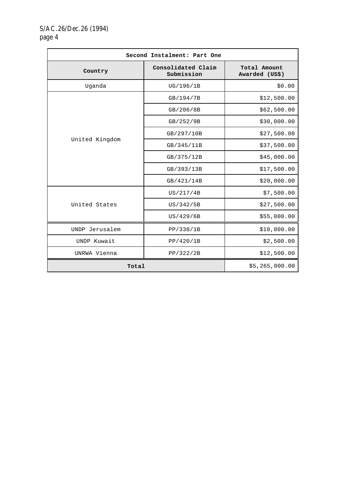| Second Instalment: Part One |                                  |                                |
|-----------------------------|----------------------------------|--------------------------------|
| Country                     | Consolidated Claim<br>Submission | Total Amount<br>Awarded (US\$) |
| Uganda                      | UG/196/1B                        | \$0.00                         |
| United Kingdom              | GB/194/7B                        | \$12,500.00                    |
|                             | GB/206/8B                        | \$62,500.00                    |
|                             | GB/252/9B                        | \$30,000.00                    |
|                             | GB/297/10B                       | \$27,500.00                    |
|                             | GB/345/11B                       | \$37,500.00                    |
|                             | GB/375/12B                       | \$45,000.00                    |
|                             | GB/393/13B                       | \$17,500.00                    |
|                             | GB/421/14B                       | \$20,000.00                    |
| United States               | US/217/4B                        | \$7,500.00                     |
|                             | US/342/5B                        | \$27,500.00                    |
|                             | US/429/6B                        | \$55,000.00                    |
| UNDP Jerusalem              | PP/338/1B                        | \$10,000.00                    |
| UNDP Kuwait                 | PP/420/1B                        | \$2,500.00                     |
| UNRWA Vienna                | PP/322/2B                        | \$12,500.00                    |
| Total                       |                                  | \$5,265,000.00                 |